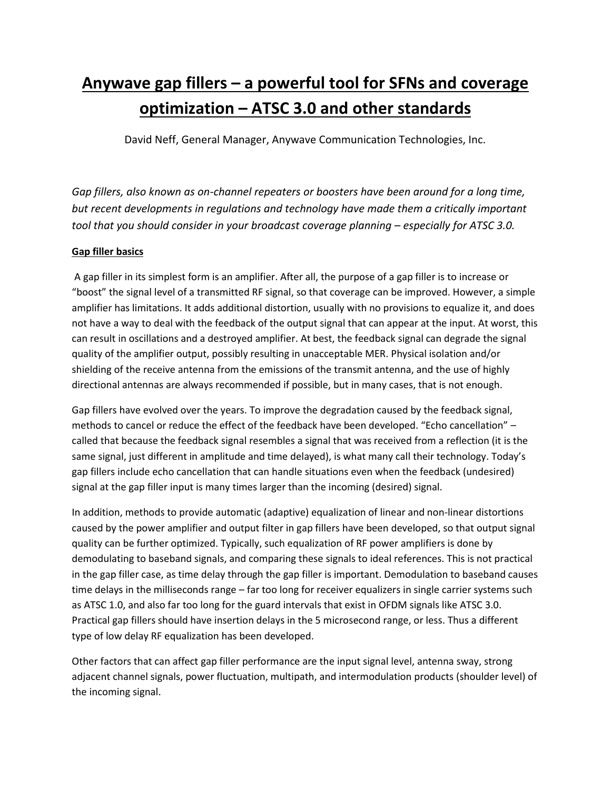# **Anywave gap fillers – a powerful tool for SFNs and coverage optimization – ATSC 3.0 and other standards**

David Neff, General Manager, Anywave Communication Technologies, Inc.

*Gap fillers, also known as on-channel repeaters or boosters have been around for a long time, but recent developments in regulations and technology have made them a critically important tool that you should consider in your broadcast coverage planning – especially for ATSC 3.0.* 

# **Gap filler basics**

A gap filler in its simplest form is an amplifier. After all, the purpose of a gap filler is to increase or "boost" the signal level of a transmitted RF signal, so that coverage can be improved. However, a simple amplifier has limitations. It adds additional distortion, usually with no provisions to equalize it, and does not have a way to deal with the feedback of the output signal that can appear at the input. At worst, this can result in oscillations and a destroyed amplifier. At best, the feedback signal can degrade the signal quality of the amplifier output, possibly resulting in unacceptable MER. Physical isolation and/or shielding of the receive antenna from the emissions of the transmit antenna, and the use of highly directional antennas are always recommended if possible, but in many cases, that is not enough.

Gap fillers have evolved over the years. To improve the degradation caused by the feedback signal, methods to cancel or reduce the effect of the feedback have been developed. "Echo cancellation" – called that because the feedback signal resembles a signal that was received from a reflection (it is the same signal, just different in amplitude and time delayed), is what many call their technology. Today's gap fillers include echo cancellation that can handle situations even when the feedback (undesired) signal at the gap filler input is many times larger than the incoming (desired) signal.

In addition, methods to provide automatic (adaptive) equalization of linear and non-linear distortions caused by the power amplifier and output filter in gap fillers have been developed, so that output signal quality can be further optimized. Typically, such equalization of RF power amplifiers is done by demodulating to baseband signals, and comparing these signals to ideal references. This is not practical in the gap filler case, as time delay through the gap filler is important. Demodulation to baseband causes time delays in the milliseconds range – far too long for receiver equalizers in single carrier systems such as ATSC 1.0, and also far too long for the guard intervals that exist in OFDM signals like ATSC 3.0. Practical gap fillers should have insertion delays in the 5 microsecond range, or less. Thus a different type of low delay RF equalization has been developed.

Other factors that can affect gap filler performance are the input signal level, antenna sway, strong adjacent channel signals, power fluctuation, multipath, and intermodulation products (shoulder level) of the incoming signal.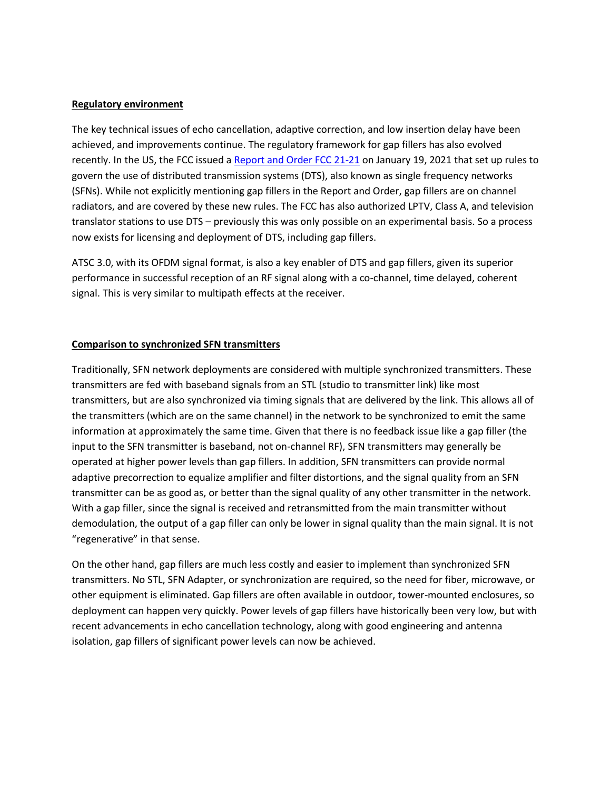### **Regulatory environment**

The key technical issues of echo cancellation, adaptive correction, and low insertion delay have been achieved, and improvements continue. The regulatory framework for gap fillers has also evolved recently. In the US, the FCC issued [a Report and Order FCC 21-21](https://docs.fcc.gov/public/attachments/FCC-21-21A1_Rcd.pdf) on January 19, 2021 that set up rules to govern the use of distributed transmission systems (DTS), also known as single frequency networks (SFNs). While not explicitly mentioning gap fillers in the Report and Order, gap fillers are on channel radiators, and are covered by these new rules. The FCC has also authorized LPTV, Class A, and television translator stations to use DTS – previously this was only possible on an experimental basis. So a process now exists for licensing and deployment of DTS, including gap fillers.

ATSC 3.0, with its OFDM signal format, is also a key enabler of DTS and gap fillers, given its superior performance in successful reception of an RF signal along with a co-channel, time delayed, coherent signal. This is very similar to multipath effects at the receiver.

## **Comparison to synchronized SFN transmitters**

Traditionally, SFN network deployments are considered with multiple synchronized transmitters. These transmitters are fed with baseband signals from an STL (studio to transmitter link) like most transmitters, but are also synchronized via timing signals that are delivered by the link. This allows all of the transmitters (which are on the same channel) in the network to be synchronized to emit the same information at approximately the same time. Given that there is no feedback issue like a gap filler (the input to the SFN transmitter is baseband, not on-channel RF), SFN transmitters may generally be operated at higher power levels than gap fillers. In addition, SFN transmitters can provide normal adaptive precorrection to equalize amplifier and filter distortions, and the signal quality from an SFN transmitter can be as good as, or better than the signal quality of any other transmitter in the network. With a gap filler, since the signal is received and retransmitted from the main transmitter without demodulation, the output of a gap filler can only be lower in signal quality than the main signal. It is not "regenerative" in that sense.

On the other hand, gap fillers are much less costly and easier to implement than synchronized SFN transmitters. No STL, SFN Adapter, or synchronization are required, so the need for fiber, microwave, or other equipment is eliminated. Gap fillers are often available in outdoor, tower-mounted enclosures, so deployment can happen very quickly. Power levels of gap fillers have historically been very low, but with recent advancements in echo cancellation technology, along with good engineering and antenna isolation, gap fillers of significant power levels can now be achieved.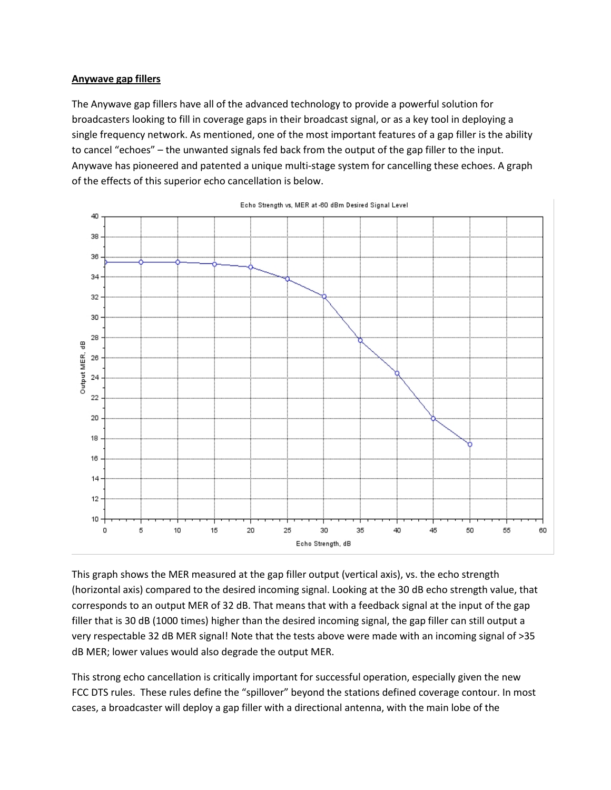### **Anywave gap fillers**

The Anywave gap fillers have all of the advanced technology to provide a powerful solution for broadcasters looking to fill in coverage gaps in their broadcast signal, or as a key tool in deploying a single frequency network. As mentioned, one of the most important features of a gap filler is the ability to cancel "echoes" – the unwanted signals fed back from the output of the gap filler to the input. Anywave has pioneered and patented a unique multi-stage system for cancelling these echoes. A graph of the effects of this superior echo cancellation is below.



Echo Strength vs, MER at -60 dBm Desired Signal Level

This graph shows the MER measured at the gap filler output (vertical axis), vs. the echo strength (horizontal axis) compared to the desired incoming signal. Looking at the 30 dB echo strength value, that corresponds to an output MER of 32 dB. That means that with a feedback signal at the input of the gap filler that is 30 dB (1000 times) higher than the desired incoming signal, the gap filler can still output a very respectable 32 dB MER signal! Note that the tests above were made with an incoming signal of >35 dB MER; lower values would also degrade the output MER.

This strong echo cancellation is critically important for successful operation, especially given the new FCC DTS rules. These rules define the "spillover" beyond the stations defined coverage contour. In most cases, a broadcaster will deploy a gap filler with a directional antenna, with the main lobe of the